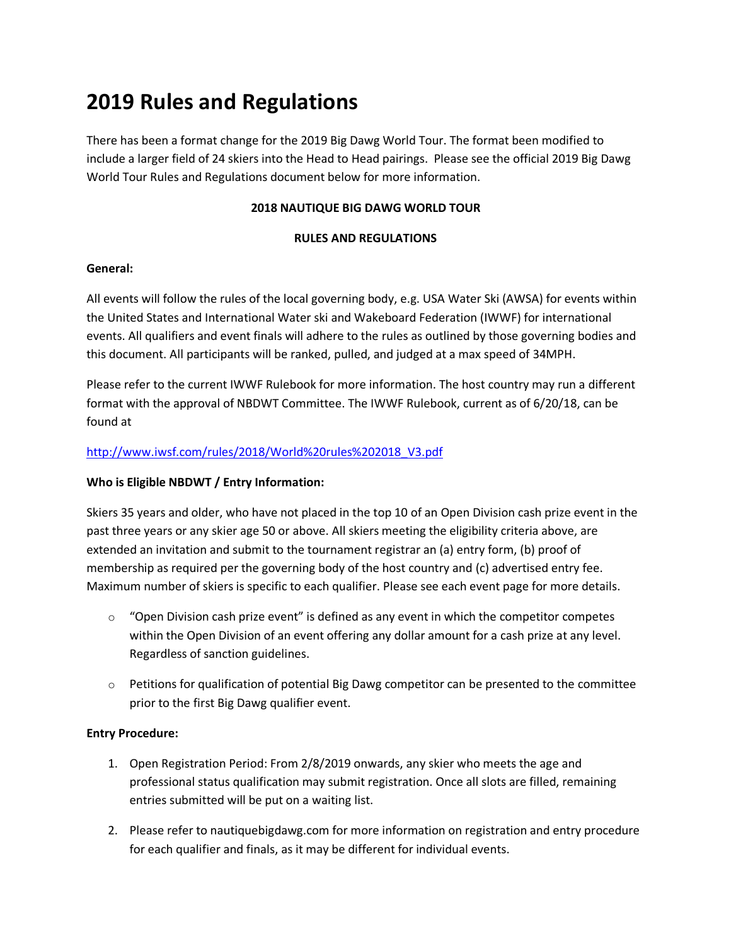# **2019 Rules and Regulations**

There has been a format change for the 2019 Big Dawg World Tour. The format been modified to include a larger field of 24 skiers into the Head to Head pairings. Please see the official 2019 Big Dawg World Tour Rules and Regulations document below for more information.

## **2018 NAUTIQUE BIG DAWG WORLD TOUR**

## **RULES AND REGULATIONS**

## **General:**

All events will follow the rules of the local governing body, e.g. USA Water Ski (AWSA) for events within the United States and International Water ski and Wakeboard Federation (IWWF) for international events. All qualifiers and event finals will adhere to the rules as outlined by those governing bodies and this document. All participants will be ranked, pulled, and judged at a max speed of 34MPH.

Please refer to the current IWWF Rulebook for more information. The host country may run a different format with the approval of NBDWT Committee. The IWWF Rulebook, current as of 6/20/18, can be found at

## http://www.iwsf.com/rules/2018/World%20rules%202018\_V3.pdf

## **Who is Eligible NBDWT / Entry Information:**

Skiers 35 years and older, who have not placed in the top 10 of an Open Division cash prize event in the past three years or any skier age 50 or above. All skiers meeting the eligibility criteria above, are extended an invitation and submit to the tournament registrar an (a) entry form, (b) proof of membership as required per the governing body of the host country and (c) advertised entry fee. Maximum number of skiers is specific to each qualifier. Please see each event page for more details.

- $\circ$  "Open Division cash prize event" is defined as any event in which the competitor competes within the Open Division of an event offering any dollar amount for a cash prize at any level. Regardless of sanction guidelines.
- $\circ$  Petitions for qualification of potential Big Dawg competitor can be presented to the committee prior to the first Big Dawg qualifier event.

## **Entry Procedure:**

- 1. Open Registration Period: From 2/8/2019 onwards, any skier who meets the age and professional status qualification may submit registration. Once all slots are filled, remaining entries submitted will be put on a waiting list.
- 2. Please refer to nautiquebigdawg.com for more information on registration and entry procedure for each qualifier and finals, as it may be different for individual events.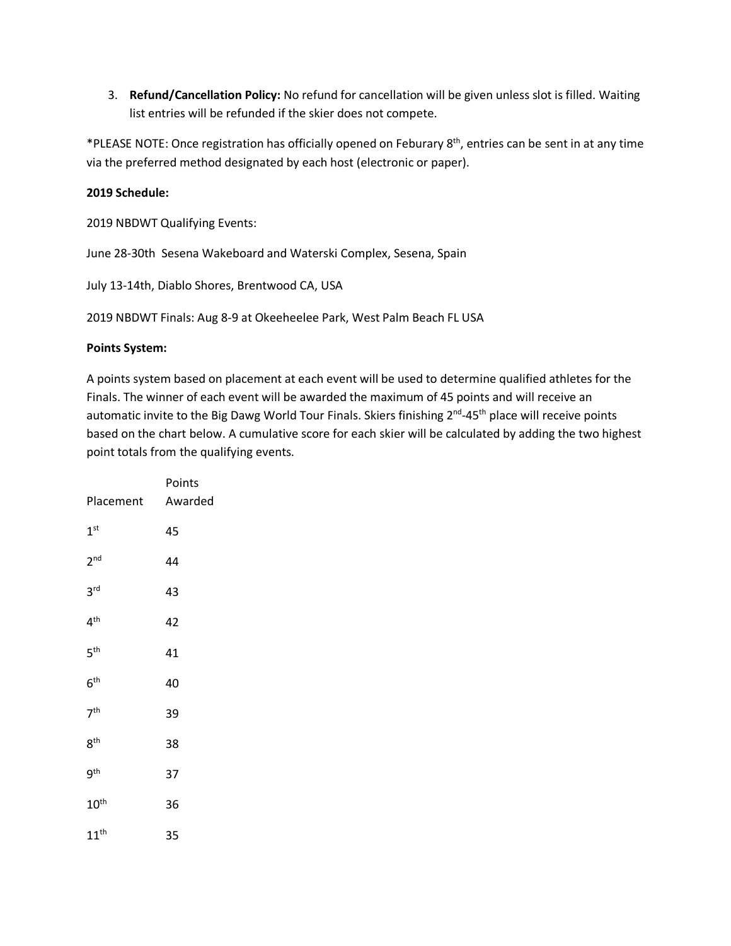3. **Refund/Cancellation Policy:** No refund for cancellation will be given unless slot is filled. Waiting list entries will be refunded if the skier does not compete.

\*PLEASE NOTE: Once registration has officially opened on Feburary 8th, entries can be sent in at any time via the preferred method designated by each host (electronic or paper).

## **2019 Schedule:**

2019 NBDWT Qualifying Events:

June 28-30th Sesena Wakeboard and Waterski Complex, Sesena, Spain

July 13-14th, Diablo Shores, Brentwood CA, USA

2019 NBDWT Finals: Aug 8-9 at Okeeheelee Park, West Palm Beach FL USA

## **Points System:**

A points system based on placement at each event will be used to determine qualified athletes for the Finals. The winner of each event will be awarded the maximum of 45 points and will receive an automatic invite to the Big Dawg World Tour Finals. Skiers finishing 2<sup>nd</sup>-45<sup>th</sup> place will receive points based on the chart below. A cumulative score for each skier will be calculated by adding the two highest point totals from the qualifying events.

|                  | Points  |
|------------------|---------|
| Placement        | Awarded |
| 1 <sup>st</sup>  | 45      |
| 2 <sub>nd</sub>  | 44      |
| 3 <sup>rd</sup>  | 43      |
| $4^{\text{th}}$  | 42      |
| 5 <sup>th</sup>  | 41      |
| 6 <sup>th</sup>  | 40      |
| 7 <sup>th</sup>  | 39      |
| 8 <sup>th</sup>  | 38      |
| $9^{\text{th}}$  | 37      |
| $10^{\text{th}}$ | 36      |
| $11^{\text{th}}$ | 35      |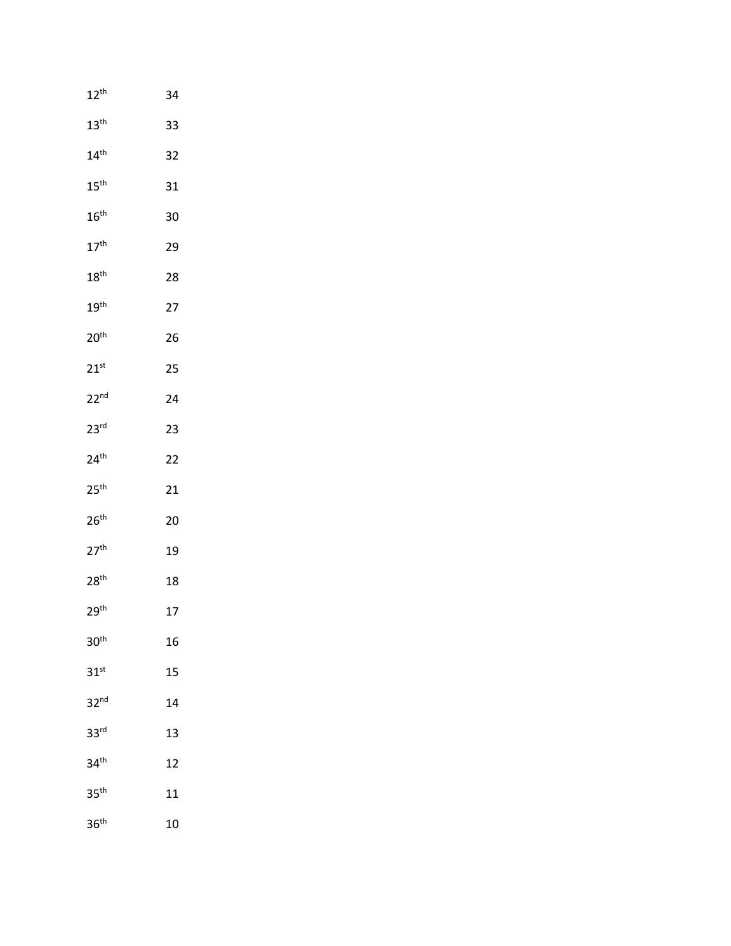| $12^{\text{th}}$ | 34 |
|------------------|----|
| 13 <sup>th</sup> | 33 |
| 14 <sup>th</sup> | 32 |
| $15^{\text{th}}$ | 31 |
| $16^{\text{th}}$ | 30 |
| 17 <sup>th</sup> | 29 |
| $18^{\text{th}}$ | 28 |
| 19 <sup>th</sup> | 27 |
| 20 <sup>th</sup> | 26 |
| $21^{st}$        | 25 |
| 22 <sup>nd</sup> | 24 |
| 23 <sup>rd</sup> | 23 |
| 24 <sup>th</sup> | 22 |
| 25 <sup>th</sup> | 21 |
| 26 <sup>th</sup> | 20 |
| 27 <sup>th</sup> | 19 |
| 28 <sup>th</sup> | 18 |
| 29 <sup>th</sup> | 17 |
| 30 <sup>th</sup> | 16 |
| $31^{st}$        | 15 |
| 32 <sup>nd</sup> | 14 |
| 33 <sup>rd</sup> | 13 |
| 34 <sup>th</sup> | 12 |
| 35 <sup>th</sup> | 11 |
| 36 <sup>th</sup> | 10 |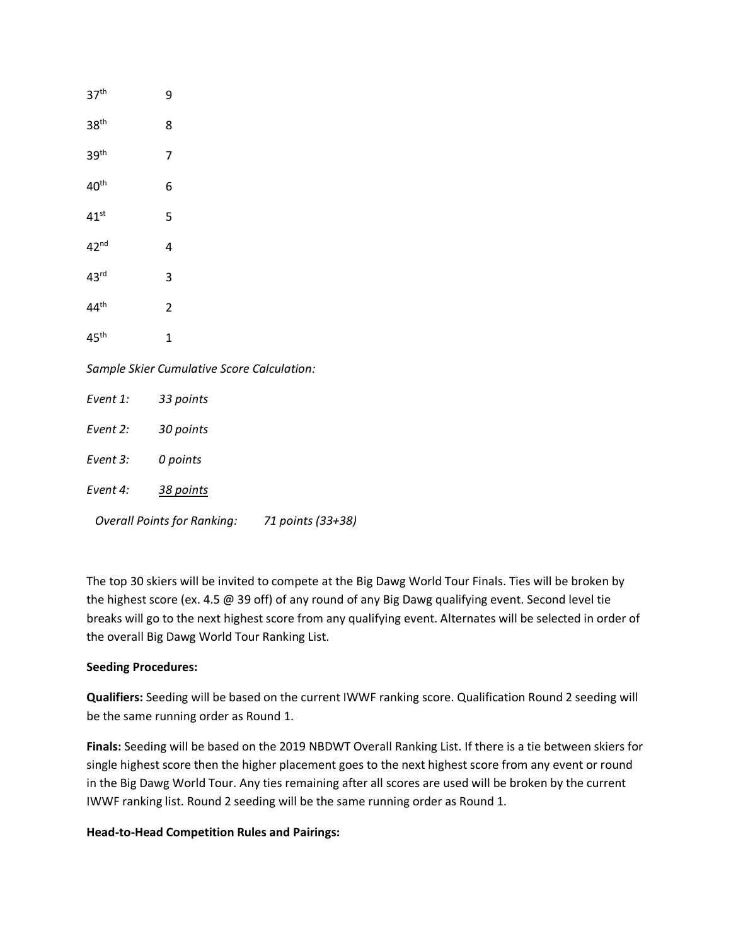| 37 <sup>th</sup>                           | 9              |                                               |  |  |
|--------------------------------------------|----------------|-----------------------------------------------|--|--|
| 38 <sup>th</sup>                           | 8              |                                               |  |  |
| 39 <sup>th</sup>                           | 7              |                                               |  |  |
| 40 <sup>th</sup>                           | 6              |                                               |  |  |
| $41^{st}$                                  | 5              |                                               |  |  |
| 42 <sup>nd</sup>                           | 4              |                                               |  |  |
| 43 <sup>rd</sup>                           | 3              |                                               |  |  |
| 44 <sup>th</sup>                           | $\overline{2}$ |                                               |  |  |
| 45 <sup>th</sup>                           | $\mathbf 1$    |                                               |  |  |
| Sample Skier Cumulative Score Calculation: |                |                                               |  |  |
| Event 1: 33 points                         |                |                                               |  |  |
| Event 2: 30 points                         |                |                                               |  |  |
| Event 3:                                   | 0 points       |                                               |  |  |
| Event 4:                                   | 38 points      |                                               |  |  |
|                                            |                | Overall Points for Ranking: 71 points (33+38) |  |  |

The top 30 skiers will be invited to compete at the Big Dawg World Tour Finals. Ties will be broken by the highest score (ex. 4.5 @ 39 off) of any round of any Big Dawg qualifying event. Second level tie breaks will go to the next highest score from any qualifying event. Alternates will be selected in order of the overall Big Dawg World Tour Ranking List.

## **Seeding Procedures:**

**Qualifiers:** Seeding will be based on the current IWWF ranking score. Qualification Round 2 seeding will be the same running order as Round 1.

**Finals:** Seeding will be based on the 2019 NBDWT Overall Ranking List. If there is a tie between skiers for single highest score then the higher placement goes to the next highest score from any event or round in the Big Dawg World Tour. Any ties remaining after all scores are used will be broken by the current IWWF ranking list. Round 2 seeding will be the same running order as Round 1.

## **Head-to-Head Competition Rules and Pairings:**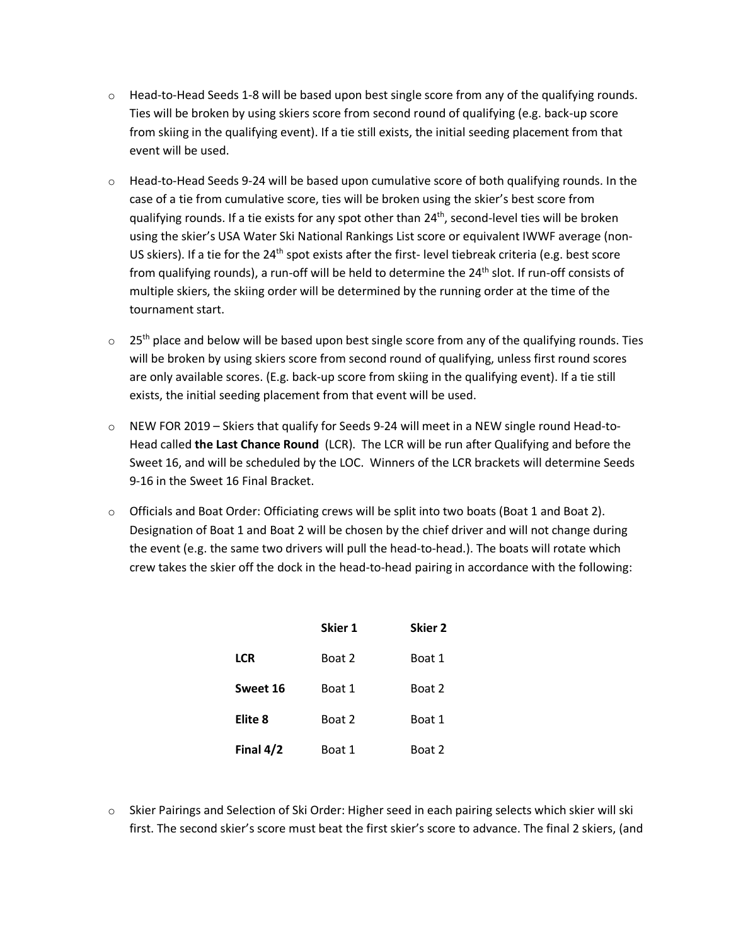- o Head-to-Head Seeds 1-8 will be based upon best single score from any of the qualifying rounds. Ties will be broken by using skiers score from second round of qualifying (e.g. back-up score from skiing in the qualifying event). If a tie still exists, the initial seeding placement from that event will be used.
- $\circ$  Head-to-Head Seeds 9-24 will be based upon cumulative score of both qualifying rounds. In the case of a tie from cumulative score, ties will be broken using the skier's best score from qualifying rounds. If a tie exists for any spot other than 24<sup>th</sup>, second-level ties will be broken using the skier's USA Water Ski National Rankings List score or equivalent IWWF average (non-US skiers). If a tie for the 24<sup>th</sup> spot exists after the first- level tiebreak criteria (e.g. best score from qualifying rounds), a run-off will be held to determine the 24<sup>th</sup> slot. If run-off consists of multiple skiers, the skiing order will be determined by the running order at the time of the tournament start.
- $\circ$  25<sup>th</sup> place and below will be based upon best single score from any of the qualifying rounds. Ties will be broken by using skiers score from second round of qualifying, unless first round scores are only available scores. (E.g. back-up score from skiing in the qualifying event). If a tie still exists, the initial seeding placement from that event will be used.
- o NEW FOR 2019 Skiers that qualify for Seeds 9-24 will meet in a NEW single round Head-to-Head called **the Last Chance Round** (LCR). The LCR will be run after Qualifying and before the Sweet 16, and will be scheduled by the LOC. Winners of the LCR brackets will determine Seeds 9-16 in the Sweet 16 Final Bracket.
- o Officials and Boat Order: Officiating crews will be split into two boats (Boat 1 and Boat 2). Designation of Boat 1 and Boat 2 will be chosen by the chief driver and will not change during the event (e.g. the same two drivers will pull the head-to-head.). The boats will rotate which crew takes the skier off the dock in the head-to-head pairing in accordance with the following:

|             | Skier 1 | Skier <sub>2</sub> |
|-------------|---------|--------------------|
| <b>LCR</b>  | Boat 2  | Boat 1             |
| Sweet 16    | Boat 1  | Boat 2             |
| Elite 8     | Boat 2  | Boat 1             |
| Final $4/2$ | Boat 1  | Boat 2             |

o Skier Pairings and Selection of Ski Order: Higher seed in each pairing selects which skier will ski first. The second skier's score must beat the first skier's score to advance. The final 2 skiers, (and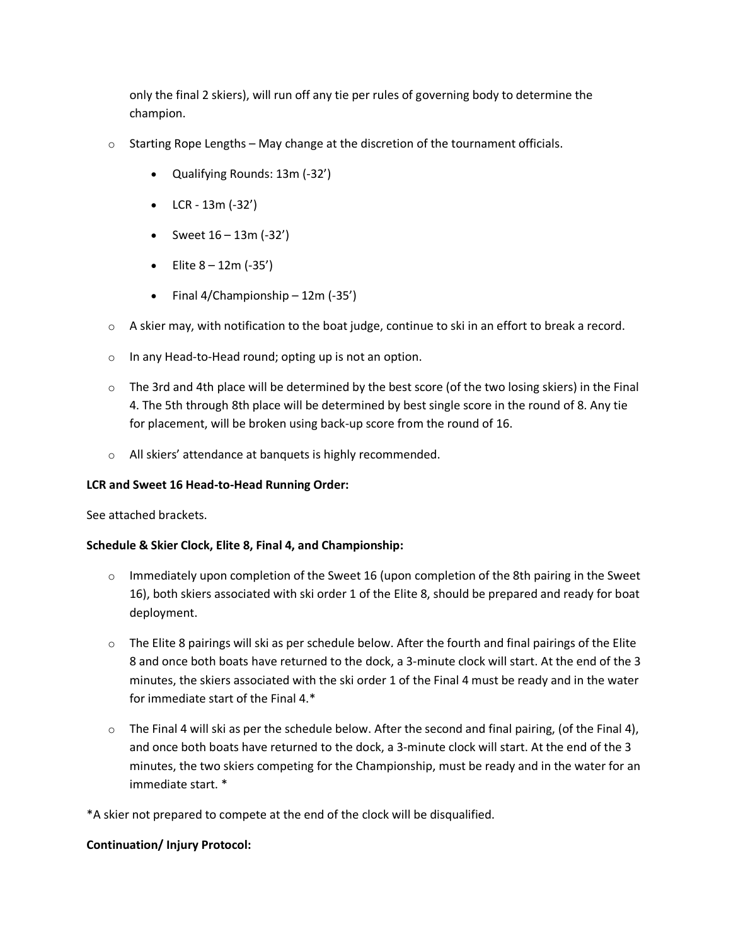only the final 2 skiers), will run off any tie per rules of governing body to determine the champion.

- $\circ$  Starting Rope Lengths May change at the discretion of the tournament officials.
	- Qualifying Rounds: 13m (-32')
	- LCR 13m (-32')
	- Sweet  $16 13m (-32')$
	- Elite  $8 12m (-35')$
	- Final 4/Championship 12m (-35')
- $\circ$  A skier may, with notification to the boat judge, continue to ski in an effort to break a record.
- o In any Head-to-Head round; opting up is not an option.
- $\circ$  The 3rd and 4th place will be determined by the best score (of the two losing skiers) in the Final 4. The 5th through 8th place will be determined by best single score in the round of 8. Any tie for placement, will be broken using back-up score from the round of 16.
- o All skiers' attendance at banquets is highly recommended.

## **LCR and Sweet 16 Head-to-Head Running Order:**

See attached brackets.

## **Schedule & Skier Clock, Elite 8, Final 4, and Championship:**

- $\circ$  Immediately upon completion of the Sweet 16 (upon completion of the 8th pairing in the Sweet 16), both skiers associated with ski order 1 of the Elite 8, should be prepared and ready for boat deployment.
- $\circ$  The Elite 8 pairings will ski as per schedule below. After the fourth and final pairings of the Elite 8 and once both boats have returned to the dock, a 3-minute clock will start. At the end of the 3 minutes, the skiers associated with the ski order 1 of the Final 4 must be ready and in the water for immediate start of the Final 4.\*
- o The Final 4 will ski as per the schedule below. After the second and final pairing, (of the Final 4), and once both boats have returned to the dock, a 3-minute clock will start. At the end of the 3 minutes, the two skiers competing for the Championship, must be ready and in the water for an immediate start. \*

\*A skier not prepared to compete at the end of the clock will be disqualified.

## **Continuation/ Injury Protocol:**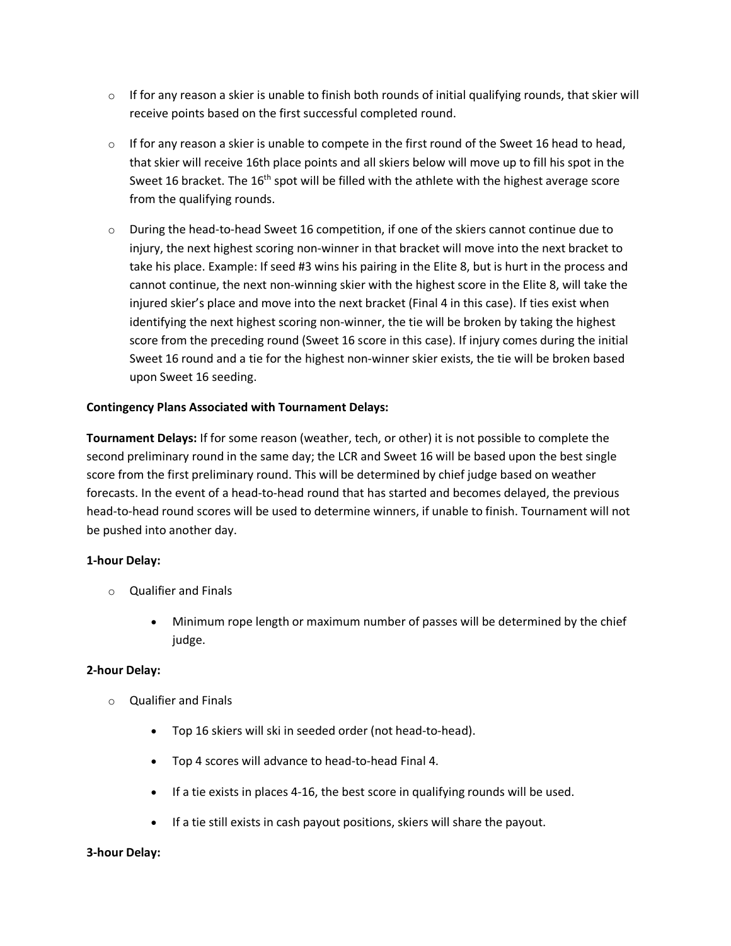- $\circ$  If for any reason a skier is unable to finish both rounds of initial qualifying rounds, that skier will receive points based on the first successful completed round.
- $\circ$  If for any reason a skier is unable to compete in the first round of the Sweet 16 head to head, that skier will receive 16th place points and all skiers below will move up to fill his spot in the Sweet 16 bracket. The  $16<sup>th</sup>$  spot will be filled with the athlete with the highest average score from the qualifying rounds.
- o During the head-to-head Sweet 16 competition, if one of the skiers cannot continue due to injury, the next highest scoring non-winner in that bracket will move into the next bracket to take his place. Example: If seed #3 wins his pairing in the Elite 8, but is hurt in the process and cannot continue, the next non-winning skier with the highest score in the Elite 8, will take the injured skier's place and move into the next bracket (Final 4 in this case). If ties exist when identifying the next highest scoring non-winner, the tie will be broken by taking the highest score from the preceding round (Sweet 16 score in this case). If injury comes during the initial Sweet 16 round and a tie for the highest non-winner skier exists, the tie will be broken based upon Sweet 16 seeding.

## **Contingency Plans Associated with Tournament Delays:**

**Tournament Delays:** If for some reason (weather, tech, or other) it is not possible to complete the second preliminary round in the same day; the LCR and Sweet 16 will be based upon the best single score from the first preliminary round. This will be determined by chief judge based on weather forecasts. In the event of a head-to-head round that has started and becomes delayed, the previous head-to-head round scores will be used to determine winners, if unable to finish. Tournament will not be pushed into another day.

## **1-hour Delay:**

- o Qualifier and Finals
	- Minimum rope length or maximum number of passes will be determined by the chief judge.

## **2-hour Delay:**

- o Qualifier and Finals
	- Top 16 skiers will ski in seeded order (not head-to-head).
	- Top 4 scores will advance to head-to-head Final 4.
	- If a tie exists in places 4-16, the best score in qualifying rounds will be used.
	- If a tie still exists in cash payout positions, skiers will share the payout.

#### **3-hour Delay:**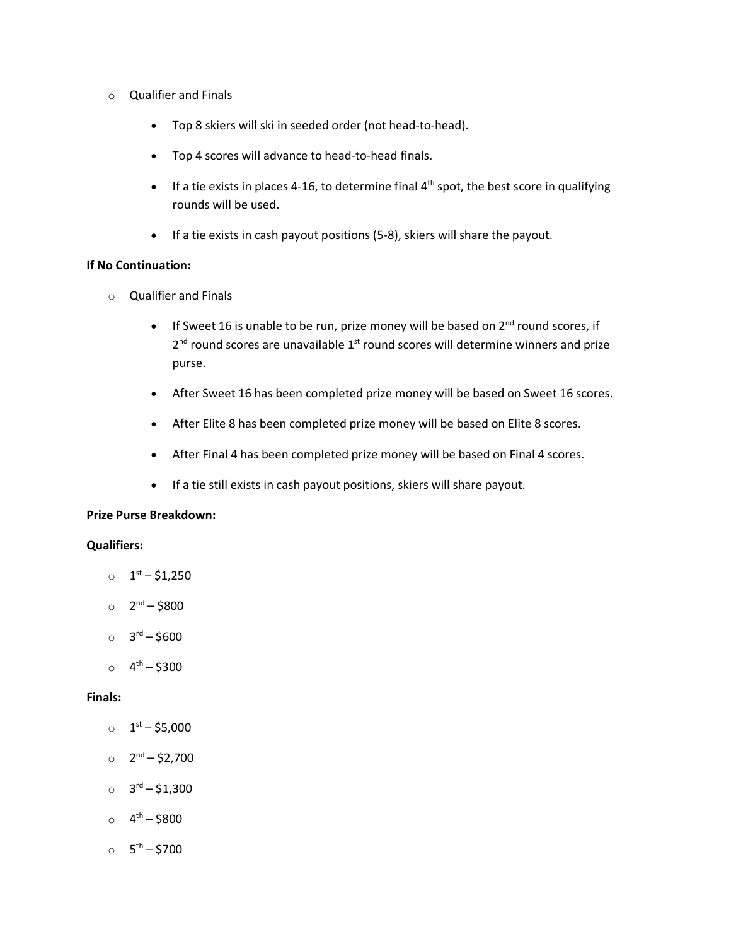- o Qualifier and Finals
	- Top 8 skiers will ski in seeded order (not head-to-head).
	- Top 4 scores will advance to head-to-head finals.
	- If a tie exists in places 4-16, to determine final  $4<sup>th</sup>$  spot, the best score in qualifying rounds will be used.
	- If a tie exists in cash payout positions (5-8), skiers will share the payout.

#### **If No Continuation:**

- o Qualifier and Finals
	- If Sweet 16 is unable to be run, prize money will be based on  $2^{nd}$  round scores, if  $2<sup>nd</sup>$  round scores are unavailable  $1<sup>st</sup>$  round scores will determine winners and prize purse.
	- After Sweet 16 has been completed prize money will be based on Sweet 16 scores.
	- After Elite 8 has been completed prize money will be based on Elite 8 scores.
	- After Final 4 has been completed prize money will be based on Final 4 scores.
	- If a tie still exists in cash payout positions, skiers will share payout.

#### **Prize Purse Breakdown:**

#### **Qualifiers:**

- $_0$  1<sup>st</sup> \$1,250
- $_0$  2<sup>nd</sup> \$800
- $O = 3^{rd} $600$
- $_0$  4<sup>th</sup> \$300

#### **Finals:**

- $0^{5t} $5,000$
- $O$  2<sup>nd</sup> \$2,700
- $\circ$  3<sup>rd</sup> \$1,300
- $_0$  4<sup>th</sup> \$800
- $0^{6} 5^{th} 5700$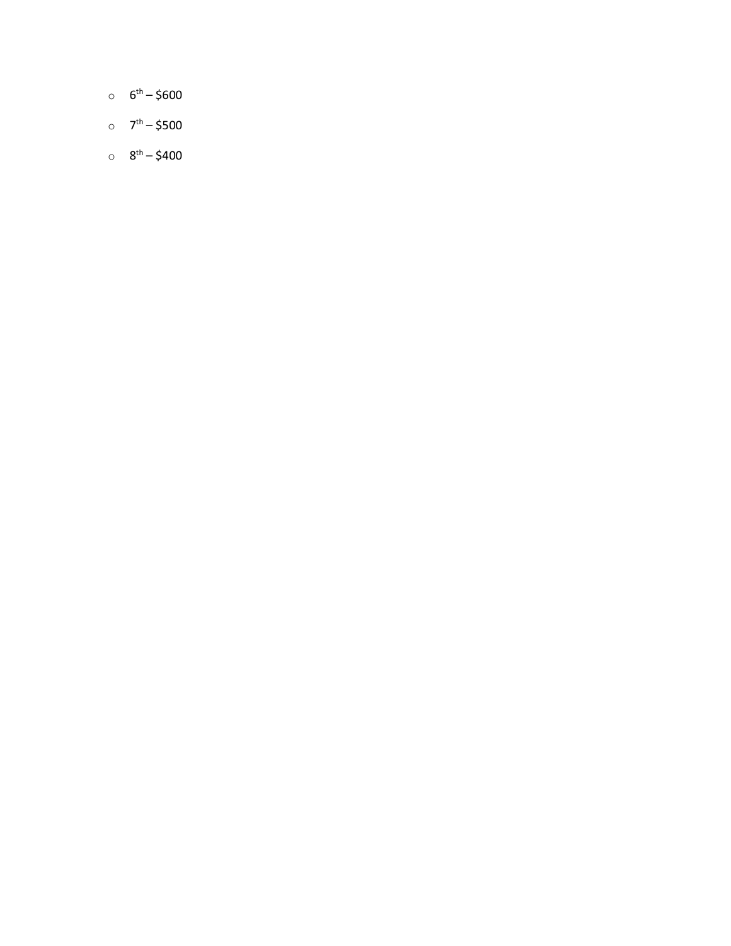- $6^{th} $600$
- $_0$   $7^{th} $500$
- $_0$   $8^{th} $400$